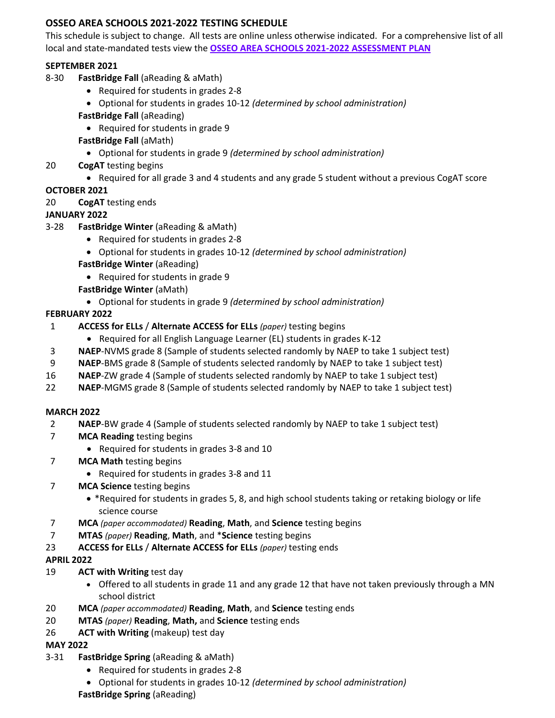# **OSSEO AREA SCHOOLS 2021-2022 TESTING SCHEDULE**

This schedule is subject to change. All tests are online unless otherwise indicated. For a comprehensive list of all local and state-mandated tests view the **[OSSEO AREA SCHOOLS 2021-2022 ASSESSMENT PLAN](https://www.district279.org/academics/assessments)**

### **SEPTEMBER 2021**

- 8-30 **FastBridge Fall** (aReading & aMath)
	- Required for students in grades 2-8
	- Optional for students in grades 10-12 *(determined by school administration)*
	- **FastBridge Fall** (aReading)
		- Required for students in grade 9
	- **FastBridge Fall** (aMath)
		- Optional for students in grade 9 *(determined by school administration)*
- 20 **CogAT** testing begins
	- Required for all grade 3 and 4 students and any grade 5 student without a previous CogAT score

### **OCTOBER 2021**

20 **CogAT** testing ends

### **JANUARY 2022**

- 3-28 **FastBridge Winter** (aReading & aMath)
	- Required for students in grades 2-8
	- Optional for students in grades 10-12 *(determined by school administration)*
	- **FastBridge Winter** (aReading)
		- Required for students in grade 9
	- **FastBridge Winter** (aMath)
		- Optional for students in grade 9 *(determined by school administration)*

### **FEBRUARY 2022**

- 1 **ACCESS for ELLs** / **Alternate ACCESS for ELLs** *(paper)* testing begins
	- Required for all English Language Learner (EL) students in grades K-12
- 3 **NAEP**-NVMS grade 8 (Sample of students selected randomly by NAEP to take 1 subject test)
- 9 **NAEP**-BMS grade 8 (Sample of students selected randomly by NAEP to take 1 subject test)
- 16 **NAEP**-ZW grade 4 (Sample of students selected randomly by NAEP to take 1 subject test)
- 22 **NAEP**-MGMS grade 8 (Sample of students selected randomly by NAEP to take 1 subject test)

#### **MARCH 2022**

- 2 **NAEP**-BW grade 4 (Sample of students selected randomly by NAEP to take 1 subject test)
- 7 **MCA Reading** testing begins
	- Required for students in grades 3-8 and 10
- 7 **MCA Math** testing begins
	- Required for students in grades 3-8 and 11
- 7 **MCA Science** testing begins
	- \*Required for students in grades 5, 8, and high school students taking or retaking biology or life science course
- 7 **MCA** *(paper accommodated)* **Reading**, **Math**, and **Science** testing begins
- 7 **MTAS** *(paper)* **Reading**, **Math**, and \***Science** testing begins
- 23 **ACCESS for ELLs** / **Alternate ACCESS for ELLs** *(paper)* testing ends

#### **APRIL 2022**

- 19 **ACT with Writing** test day
	- Offered to all students in grade 11 and any grade 12 that have not taken previously through a MN school district
- 20 **MCA** *(paper accommodated)* **Reading**, **Math**, and **Science** testing ends
- 20 **MTAS** *(paper)* **Reading**, **Math,** and **Science** testing ends
- 26 **ACT with Writing** (makeup) test day

#### **MAY 2022**

- 3-31 **FastBridge Spring** (aReading & aMath)
	- Required for students in grades 2-8
	- Optional for students in grades 10-12 *(determined by school administration)*

**FastBridge Spring** (aReading)